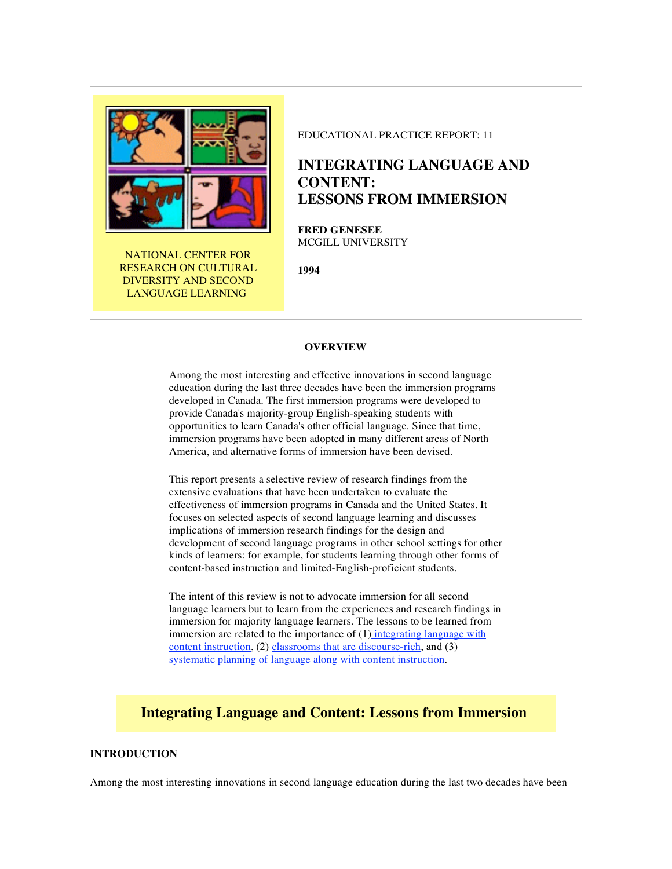

NATIONAL CENTER FOR RESEARCH ON CULTURAL DIVERSITY AND SECOND LANGUAGE LEARNING

### EDUCATIONAL PRACTICE REPORT: 11

# **INTEGRATING LANGUAGE AND CONTENT: LESSONS FROM IMMERSION**

**FRED GENESEE** MCGILL UNIVERSITY

**1994**

#### **OVERVIEW**

Among the most interesting and effective innovations in second language education during the last three decades have been the immersion programs developed in Canada. The first immersion programs were developed to provide Canada's majority-group English-speaking students with opportunities to learn Canada's other official language. Since that time, immersion programs have been adopted in many different areas of North America, and alternative forms of immersion have been devised.

This report presents a selective review of research findings from the extensive evaluations that have been undertaken to evaluate the effectiveness of immersion programs in Canada and the United States. It focuses on selected aspects of second language learning and discusses implications of immersion research findings for the design and development of second language programs in other school settings for other kinds of learners: for example, for students learning through other forms of content-based instruction and limited-English-proficient students.

The intent of this review is not to advocate immersion for all second language learners but to learn from the experiences and research findings in immersion for majority language learners. The lessons to be learned from immersion are related to the importance of  $(1)$  integrating language with content instruction, (2) classrooms that are discourse-rich, and (3) systematic planning of language along with content instruction.

# **Integrating Language and Content: Lessons from Immersion**

# **INTRODUCTION**

Among the most interesting innovations in second language education during the last two decades have been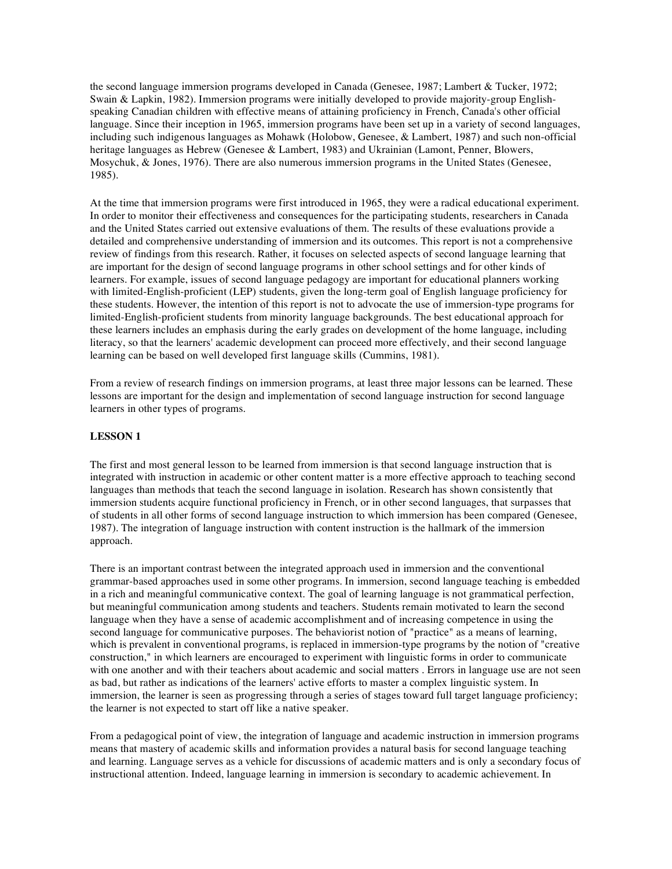the second language immersion programs developed in Canada (Genesee, 1987; Lambert & Tucker, 1972; Swain & Lapkin, 1982). Immersion programs were initially developed to provide majority-group Englishspeaking Canadian children with effective means of attaining proficiency in French, Canada's other official language. Since their inception in 1965, immersion programs have been set up in a variety of second languages, including such indigenous languages as Mohawk (Holobow, Genesee, & Lambert, 1987) and such non-official heritage languages as Hebrew (Genesee & Lambert, 1983) and Ukrainian (Lamont, Penner, Blowers, Mosychuk, & Jones, 1976). There are also numerous immersion programs in the United States (Genesee, 1985).

At the time that immersion programs were first introduced in 1965, they were a radical educational experiment. In order to monitor their effectiveness and consequences for the participating students, researchers in Canada and the United States carried out extensive evaluations of them. The results of these evaluations provide a detailed and comprehensive understanding of immersion and its outcomes. This report is not a comprehensive review of findings from this research. Rather, it focuses on selected aspects of second language learning that are important for the design of second language programs in other school settings and for other kinds of learners. For example, issues of second language pedagogy are important for educational planners working with limited-English-proficient (LEP) students, given the long-term goal of English language proficiency for these students. However, the intention of this report is not to advocate the use of immersion-type programs for limited-English-proficient students from minority language backgrounds. The best educational approach for these learners includes an emphasis during the early grades on development of the home language, including literacy, so that the learners' academic development can proceed more effectively, and their second language learning can be based on well developed first language skills (Cummins, 1981).

From a review of research findings on immersion programs, at least three major lessons can be learned. These lessons are important for the design and implementation of second language instruction for second language learners in other types of programs.

### **LESSON 1**

The first and most general lesson to be learned from immersion is that second language instruction that is integrated with instruction in academic or other content matter is a more effective approach to teaching second languages than methods that teach the second language in isolation. Research has shown consistently that immersion students acquire functional proficiency in French, or in other second languages, that surpasses that of students in all other forms of second language instruction to which immersion has been compared (Genesee, 1987). The integration of language instruction with content instruction is the hallmark of the immersion approach.

There is an important contrast between the integrated approach used in immersion and the conventional grammar-based approaches used in some other programs. In immersion, second language teaching is embedded in a rich and meaningful communicative context. The goal of learning language is not grammatical perfection, but meaningful communication among students and teachers. Students remain motivated to learn the second language when they have a sense of academic accomplishment and of increasing competence in using the second language for communicative purposes. The behaviorist notion of "practice" as a means of learning, which is prevalent in conventional programs, is replaced in immersion-type programs by the notion of "creative construction," in which learners are encouraged to experiment with linguistic forms in order to communicate with one another and with their teachers about academic and social matters . Errors in language use are not seen as bad, but rather as indications of the learners' active efforts to master a complex linguistic system. In immersion, the learner is seen as progressing through a series of stages toward full target language proficiency; the learner is not expected to start off like a native speaker.

From a pedagogical point of view, the integration of language and academic instruction in immersion programs means that mastery of academic skills and information provides a natural basis for second language teaching and learning. Language serves as a vehicle for discussions of academic matters and is only a secondary focus of instructional attention. Indeed, language learning in immersion is secondary to academic achievement. In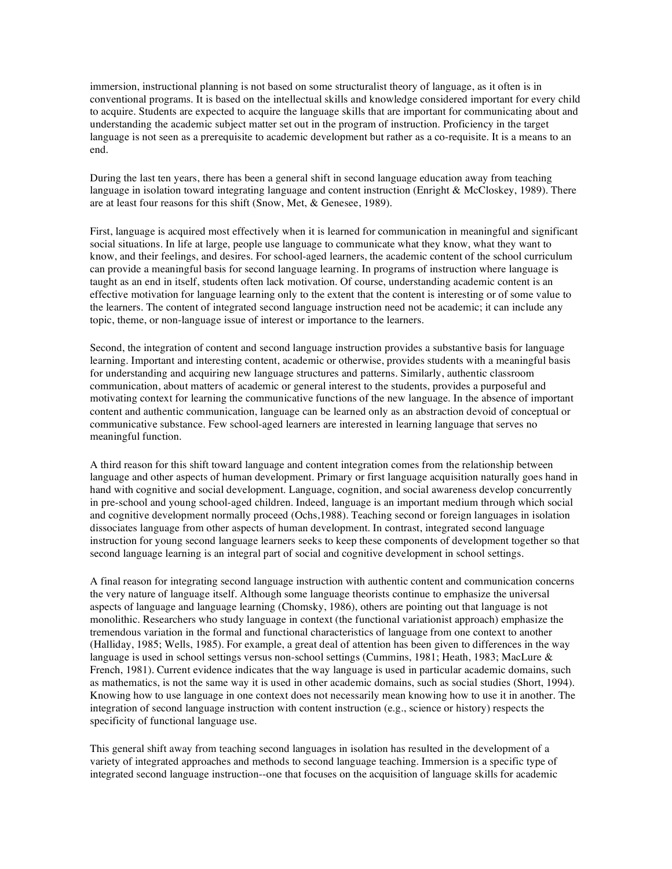immersion, instructional planning is not based on some structuralist theory of language, as it often is in conventional programs. It is based on the intellectual skills and knowledge considered important for every child to acquire. Students are expected to acquire the language skills that are important for communicating about and understanding the academic subject matter set out in the program of instruction. Proficiency in the target language is not seen as a prerequisite to academic development but rather as a co-requisite. It is a means to an end.

During the last ten years, there has been a general shift in second language education away from teaching language in isolation toward integrating language and content instruction (Enright & McCloskey, 1989). There are at least four reasons for this shift (Snow, Met, & Genesee, 1989).

First, language is acquired most effectively when it is learned for communication in meaningful and significant social situations. In life at large, people use language to communicate what they know, what they want to know, and their feelings, and desires. For school-aged learners, the academic content of the school curriculum can provide a meaningful basis for second language learning. In programs of instruction where language is taught as an end in itself, students often lack motivation. Of course, understanding academic content is an effective motivation for language learning only to the extent that the content is interesting or of some value to the learners. The content of integrated second language instruction need not be academic; it can include any topic, theme, or non-language issue of interest or importance to the learners.

Second, the integration of content and second language instruction provides a substantive basis for language learning. Important and interesting content, academic or otherwise, provides students with a meaningful basis for understanding and acquiring new language structures and patterns. Similarly, authentic classroom communication, about matters of academic or general interest to the students, provides a purposeful and motivating context for learning the communicative functions of the new language. In the absence of important content and authentic communication, language can be learned only as an abstraction devoid of conceptual or communicative substance. Few school-aged learners are interested in learning language that serves no meaningful function.

A third reason for this shift toward language and content integration comes from the relationship between language and other aspects of human development. Primary or first language acquisition naturally goes hand in hand with cognitive and social development. Language, cognition, and social awareness develop concurrently in pre-school and young school-aged children. Indeed, language is an important medium through which social and cognitive development normally proceed (Ochs,1988). Teaching second or foreign languages in isolation dissociates language from other aspects of human development. In contrast, integrated second language instruction for young second language learners seeks to keep these components of development together so that second language learning is an integral part of social and cognitive development in school settings.

A final reason for integrating second language instruction with authentic content and communication concerns the very nature of language itself. Although some language theorists continue to emphasize the universal aspects of language and language learning (Chomsky, 1986), others are pointing out that language is not monolithic. Researchers who study language in context (the functional variationist approach) emphasize the tremendous variation in the formal and functional characteristics of language from one context to another (Halliday, 1985; Wells, 1985). For example, a great deal of attention has been given to differences in the way language is used in school settings versus non-school settings (Cummins, 1981; Heath, 1983; MacLure & French, 1981). Current evidence indicates that the way language is used in particular academic domains, such as mathematics, is not the same way it is used in other academic domains, such as social studies (Short, 1994). Knowing how to use language in one context does not necessarily mean knowing how to use it in another. The integration of second language instruction with content instruction (e.g., science or history) respects the specificity of functional language use.

This general shift away from teaching second languages in isolation has resulted in the development of a variety of integrated approaches and methods to second language teaching. Immersion is a specific type of integrated second language instruction--one that focuses on the acquisition of language skills for academic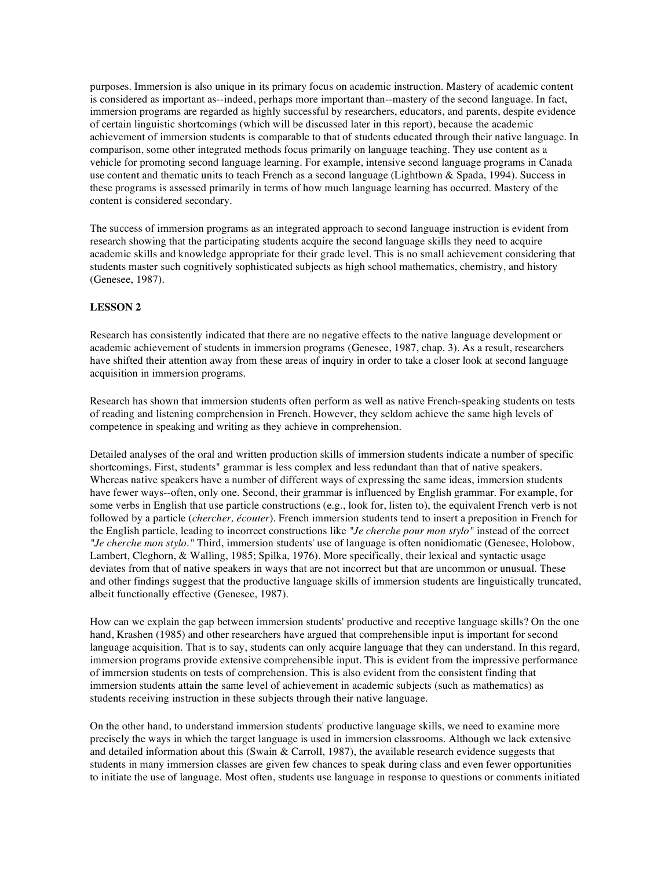purposes. Immersion is also unique in its primary focus on academic instruction. Mastery of academic content is considered as important as--indeed, perhaps more important than--mastery of the second language. In fact, immersion programs are regarded as highly successful by researchers, educators, and parents, despite evidence of certain linguistic shortcomings (which will be discussed later in this report), because the academic achievement of immersion students is comparable to that of students educated through their native language. In comparison, some other integrated methods focus primarily on language teaching. They use content as a vehicle for promoting second language learning. For example, intensive second language programs in Canada use content and thematic units to teach French as a second language (Lightbown & Spada, 1994). Success in these programs is assessed primarily in terms of how much language learning has occurred. Mastery of the content is considered secondary.

The success of immersion programs as an integrated approach to second language instruction is evident from research showing that the participating students acquire the second language skills they need to acquire academic skills and knowledge appropriate for their grade level. This is no small achievement considering that students master such cognitively sophisticated subjects as high school mathematics, chemistry, and history (Genesee, 1987).

# **LESSON 2**

Research has consistently indicated that there are no negative effects to the native language development or academic achievement of students in immersion programs (Genesee, 1987, chap. 3). As a result, researchers have shifted their attention away from these areas of inquiry in order to take a closer look at second language acquisition in immersion programs.

Research has shown that immersion students often perform as well as native French-speaking students on tests of reading and listening comprehension in French. However, they seldom achieve the same high levels of competence in speaking and writing as they achieve in comprehension.

Detailed analyses of the oral and written production skills of immersion students indicate a number of specific shortcomings. First, students" grammar is less complex and less redundant than that of native speakers. Whereas native speakers have a number of different ways of expressing the same ideas, immersion students have fewer ways--often, only one. Second, their grammar is influenced by English grammar. For example, for some verbs in English that use particle constructions (e.g., look for, listen to), the equivalent French verb is not followed by a particle (*chercher, écouter*). French immersion students tend to insert a preposition in French for the English particle, leading to incorrect constructions like *"Je cherche pour mon stylo"* instead of the correct *"Je cherche mon stylo."* Third, immersion students' use of language is often nonidiomatic (Genesee, Holobow, Lambert, Cleghorn, & Walling, 1985; Spilka, 1976). More specifically, their lexical and syntactic usage deviates from that of native speakers in ways that are not incorrect but that are uncommon or unusual. These and other findings suggest that the productive language skills of immersion students are linguistically truncated, albeit functionally effective (Genesee, 1987).

How can we explain the gap between immersion students' productive and receptive language skills? On the one hand, Krashen (1985) and other researchers have argued that comprehensible input is important for second language acquisition. That is to say, students can only acquire language that they can understand. In this regard, immersion programs provide extensive comprehensible input. This is evident from the impressive performance of immersion students on tests of comprehension. This is also evident from the consistent finding that immersion students attain the same level of achievement in academic subjects (such as mathematics) as students receiving instruction in these subjects through their native language.

On the other hand, to understand immersion students' productive language skills, we need to examine more precisely the ways in which the target language is used in immersion classrooms. Although we lack extensive and detailed information about this (Swain & Carroll, 1987), the available research evidence suggests that students in many immersion classes are given few chances to speak during class and even fewer opportunities to initiate the use of language. Most often, students use language in response to questions or comments initiated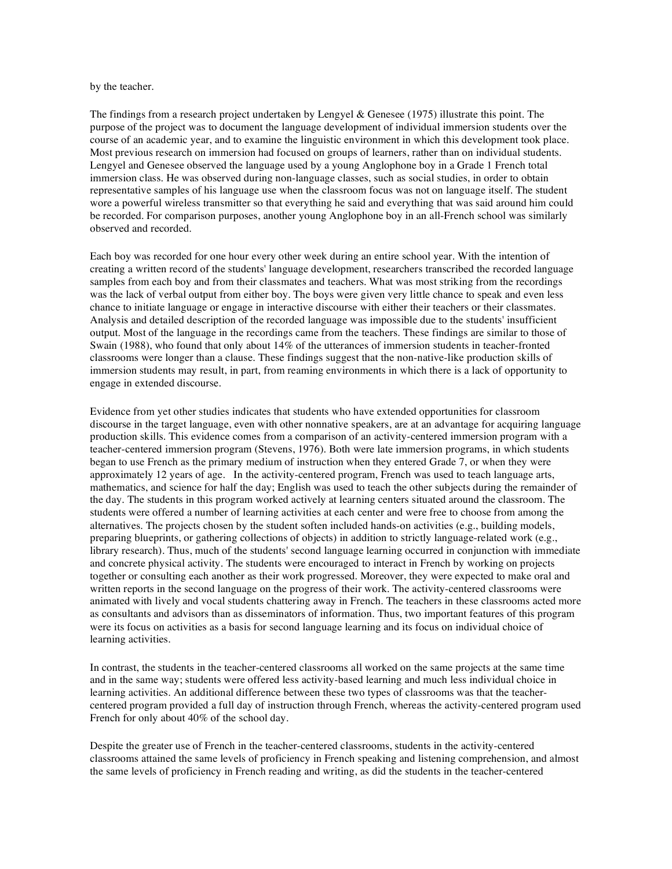#### by the teacher.

The findings from a research project undertaken by Lengyel & Genesee (1975) illustrate this point. The purpose of the project was to document the language development of individual immersion students over the course of an academic year, and to examine the linguistic environment in which this development took place. Most previous research on immersion had focused on groups of learners, rather than on individual students. Lengyel and Genesee observed the language used by a young Anglophone boy in a Grade 1 French total immersion class. He was observed during non-language classes, such as social studies, in order to obtain representative samples of his language use when the classroom focus was not on language itself. The student wore a powerful wireless transmitter so that everything he said and everything that was said around him could be recorded. For comparison purposes, another young Anglophone boy in an all-French school was similarly observed and recorded.

Each boy was recorded for one hour every other week during an entire school year. With the intention of creating a written record of the students' language development, researchers transcribed the recorded language samples from each boy and from their classmates and teachers. What was most striking from the recordings was the lack of verbal output from either boy. The boys were given very little chance to speak and even less chance to initiate language or engage in interactive discourse with either their teachers or their classmates. Analysis and detailed description of the recorded language was impossible due to the students' insufficient output. Most of the language in the recordings came from the teachers. These findings are similar to those of Swain (1988), who found that only about 14% of the utterances of immersion students in teacher-fronted classrooms were longer than a clause. These findings suggest that the non-native-like production skills of immersion students may result, in part, from reaming environments in which there is a lack of opportunity to engage in extended discourse.

Evidence from yet other studies indicates that students who have extended opportunities for classroom discourse in the target language, even with other nonnative speakers, are at an advantage for acquiring language production skills. This evidence comes from a comparison of an activity-centered immersion program with a teacher-centered immersion program (Stevens, 1976). Both were late immersion programs, in which students began to use French as the primary medium of instruction when they entered Grade 7, or when they were approximately 12 years of age. In the activity-centered program, French was used to teach language arts, mathematics, and science for half the day; English was used to teach the other subjects during the remainder of the day. The students in this program worked actively at learning centers situated around the classroom. The students were offered a number of learning activities at each center and were free to choose from among the alternatives. The projects chosen by the student soften included hands-on activities (e.g., building models, preparing blueprints, or gathering collections of objects) in addition to strictly language-related work (e.g., library research). Thus, much of the students' second language learning occurred in conjunction with immediate and concrete physical activity. The students were encouraged to interact in French by working on projects together or consulting each another as their work progressed. Moreover, they were expected to make oral and written reports in the second language on the progress of their work. The activity-centered classrooms were animated with lively and vocal students chattering away in French. The teachers in these classrooms acted more as consultants and advisors than as disseminators of information. Thus, two important features of this program were its focus on activities as a basis for second language learning and its focus on individual choice of learning activities.

In contrast, the students in the teacher-centered classrooms all worked on the same projects at the same time and in the same way; students were offered less activity-based learning and much less individual choice in learning activities. An additional difference between these two types of classrooms was that the teachercentered program provided a full day of instruction through French, whereas the activity-centered program used French for only about 40% of the school day.

Despite the greater use of French in the teacher-centered classrooms, students in the activity-centered classrooms attained the same levels of proficiency in French speaking and listening comprehension, and almost the same levels of proficiency in French reading and writing, as did the students in the teacher-centered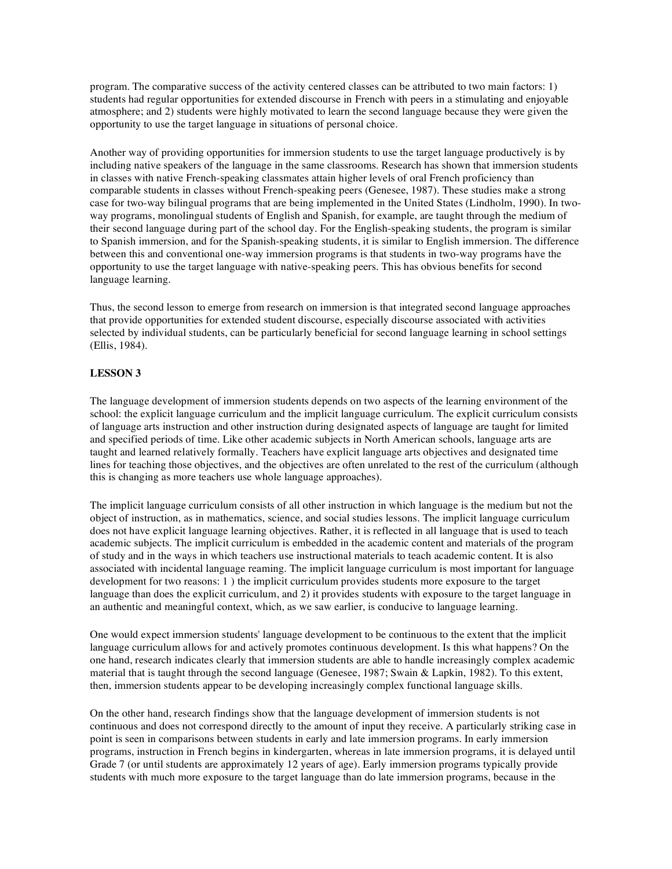program. The comparative success of the activity centered classes can be attributed to two main factors: 1) students had regular opportunities for extended discourse in French with peers in a stimulating and enjoyable atmosphere; and 2) students were highly motivated to learn the second language because they were given the opportunity to use the target language in situations of personal choice.

Another way of providing opportunities for immersion students to use the target language productively is by including native speakers of the language in the same classrooms. Research has shown that immersion students in classes with native French-speaking classmates attain higher levels of oral French proficiency than comparable students in classes without French-speaking peers (Genesee, 1987). These studies make a strong case for two-way bilingual programs that are being implemented in the United States (Lindholm, 1990). In twoway programs, monolingual students of English and Spanish, for example, are taught through the medium of their second language during part of the school day. For the English-speaking students, the program is similar to Spanish immersion, and for the Spanish-speaking students, it is similar to English immersion. The difference between this and conventional one-way immersion programs is that students in two-way programs have the opportunity to use the target language with native-speaking peers. This has obvious benefits for second language learning.

Thus, the second lesson to emerge from research on immersion is that integrated second language approaches that provide opportunities for extended student discourse, especially discourse associated with activities selected by individual students, can be particularly beneficial for second language learning in school settings (Ellis, 1984).

# **LESSON 3**

The language development of immersion students depends on two aspects of the learning environment of the school: the explicit language curriculum and the implicit language curriculum. The explicit curriculum consists of language arts instruction and other instruction during designated aspects of language are taught for limited and specified periods of time. Like other academic subjects in North American schools, language arts are taught and learned relatively formally. Teachers have explicit language arts objectives and designated time lines for teaching those objectives, and the objectives are often unrelated to the rest of the curriculum (although this is changing as more teachers use whole language approaches).

The implicit language curriculum consists of all other instruction in which language is the medium but not the object of instruction, as in mathematics, science, and social studies lessons. The implicit language curriculum does not have explicit language learning objectives. Rather, it is reflected in all language that is used to teach academic subjects. The implicit curriculum is embedded in the academic content and materials of the program of study and in the ways in which teachers use instructional materials to teach academic content. It is also associated with incidental language reaming. The implicit language curriculum is most important for language development for two reasons: 1 ) the implicit curriculum provides students more exposure to the target language than does the explicit curriculum, and 2) it provides students with exposure to the target language in an authentic and meaningful context, which, as we saw earlier, is conducive to language learning.

One would expect immersion students' language development to be continuous to the extent that the implicit language curriculum allows for and actively promotes continuous development. Is this what happens? On the one hand, research indicates clearly that immersion students are able to handle increasingly complex academic material that is taught through the second language (Genesee, 1987; Swain & Lapkin, 1982). To this extent, then, immersion students appear to be developing increasingly complex functional language skills.

On the other hand, research findings show that the language development of immersion students is not continuous and does not correspond directly to the amount of input they receive. A particularly striking case in point is seen in comparisons between students in early and late immersion programs. In early immersion programs, instruction in French begins in kindergarten, whereas in late immersion programs, it is delayed until Grade 7 (or until students are approximately 12 years of age). Early immersion programs typically provide students with much more exposure to the target language than do late immersion programs, because in the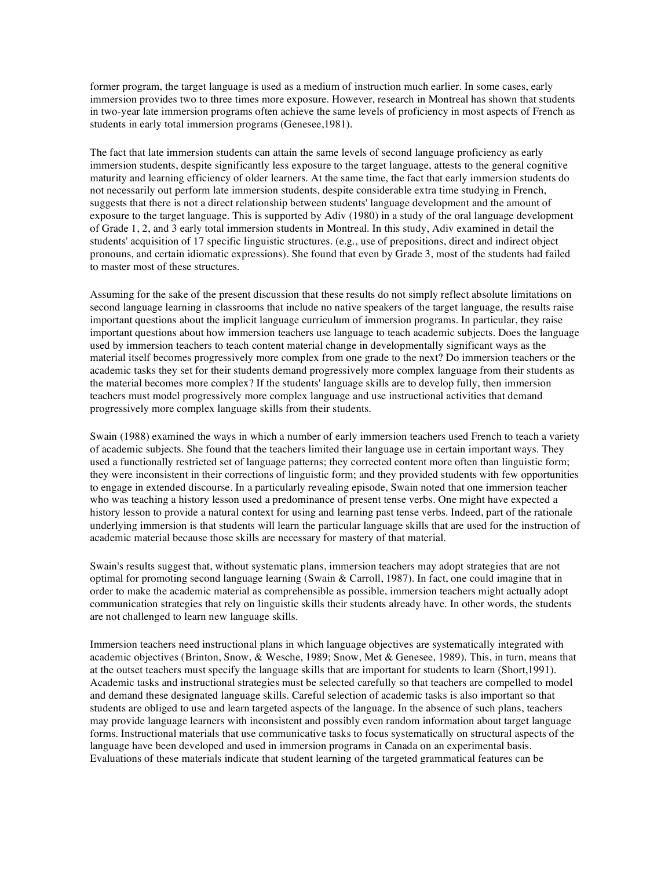former program, the target language is used as a medium of instruction much earlier. In some cases, early immersion provides two to three times more exposure. However, research in Montreal has shown that students in two-year late immersion programs often achieve the same levels of proficiency in most aspects of French as students in early total immersion programs (Genesee,1981).

The fact that late immersion students can attain the same levels of second language proficiency as early immersion students, despite significantly less exposure to the target language, attests to the general cognitive maturity and learning efficiency of older learners. At the same time, the fact that early immersion students do not necessarily out perform late immersion students, despite considerable extra time studying in French, suggests that there is not a direct relationship between students' language development and the amount of exposure to the target language. This is supported by Adiv (1980) in a study of the oral language development of Grade 1, 2, and 3 early total immersion students in Montreal. In this study, Adiv examined in detail the students' acquisition of 17 specific linguistic structures. (e.g., use of prepositions, direct and indirect object pronouns, and certain idiomatic expressions). She found that even by Grade 3, most of the students had failed to master most of these structures.

Assuming for the sake of the present discussion that these results do not simply reflect absolute limitations on second language learning in classrooms that include no native speakers of the target language, the results raise important questions about the implicit language curriculum of immersion programs. In particular, they raise important questions about how immersion teachers use language to teach academic subjects. Does the language used by immersion teachers to teach content material change in developmentally significant ways as the material itself becomes progressively more complex from one grade to the next? Do immersion teachers or the academic tasks they set for their students demand progressively more complex language from their students as the material becomes more complex? If the students' language skills are to develop fully, then immersion teachers must model progressively more complex language and use instructional activities that demand progressively more complex language skills from their students.

Swain (1988) examined the ways in which a number of early immersion teachers used French to teach a variety of academic subjects. She found that the teachers limited their language use in certain important ways. They used a functionally restricted set of language patterns; they corrected content more often than linguistic form; they were inconsistent in their corrections of linguistic form; and they provided students with few opportunities to engage in extended discourse. In a particularly revealing episode, Swain noted that one immersion teacher who was teaching a history lesson used a predominance of present tense verbs. One might have expected a history lesson to provide a natural context for using and learning past tense verbs. Indeed, part of the rationale underlying immersion is that students will learn the particular language skills that are used for the instruction of academic material because those skills are necessary for mastery of that material.

Swain's results suggest that, without systematic plans, immersion teachers may adopt strategies that are not optimal for promoting second language learning (Swain & Carroll, 1987). In fact, one could imagine that in order to make the academic material as comprehensible as possible, immersion teachers might actually adopt communication strategies that rely on linguistic skills their students already have. In other words, the students are not challenged to learn new language skills.

Immersion teachers need instructional plans in which language objectives are systematically integrated with academic objectives (Brinton, Snow, & Wesche, 1989; Snow, Met & Genesee, 1989). This, in turn, means that at the outset teachers must specify the language skills that are important for students to learn (Short,1991). Academic tasks and instructional strategies must be selected carefully so that teachers are compelled to model and demand these designated language skills. Careful selection of academic tasks is also important so that students are obliged to use and learn targeted aspects of the language. In the absence of such plans, teachers may provide language learners with inconsistent and possibly even random information about target language forms. Instructional materials that use communicative tasks to focus systematically on structural aspects of the language have been developed and used in immersion programs in Canada on an experimental basis. Evaluations of these materials indicate that student learning of the targeted grammatical features can be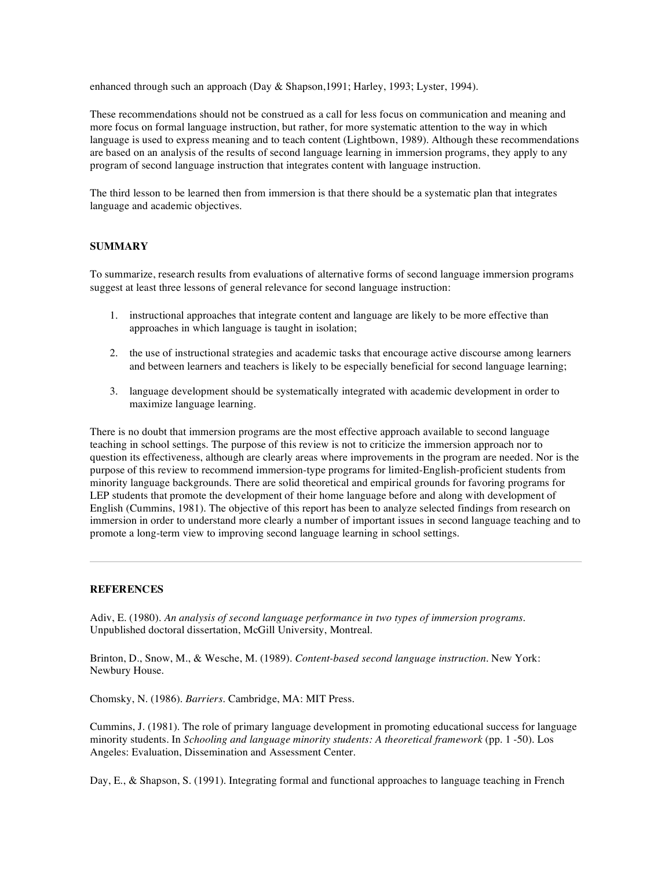enhanced through such an approach (Day & Shapson,1991; Harley, 1993; Lyster, 1994).

These recommendations should not be construed as a call for less focus on communication and meaning and more focus on formal language instruction, but rather, for more systematic attention to the way in which language is used to express meaning and to teach content (Lightbown, 1989). Although these recommendations are based on an analysis of the results of second language learning in immersion programs, they apply to any program of second language instruction that integrates content with language instruction.

The third lesson to be learned then from immersion is that there should be a systematic plan that integrates language and academic objectives.

# **SUMMARY**

To summarize, research results from evaluations of alternative forms of second language immersion programs suggest at least three lessons of general relevance for second language instruction:

- 1. instructional approaches that integrate content and language are likely to be more effective than approaches in which language is taught in isolation;
- 2. the use of instructional strategies and academic tasks that encourage active discourse among learners and between learners and teachers is likely to be especially beneficial for second language learning;
- 3. language development should be systematically integrated with academic development in order to maximize language learning.

There is no doubt that immersion programs are the most effective approach available to second language teaching in school settings. The purpose of this review is not to criticize the immersion approach nor to question its effectiveness, although are clearly areas where improvements in the program are needed. Nor is the purpose of this review to recommend immersion-type programs for limited-English-proficient students from minority language backgrounds. There are solid theoretical and empirical grounds for favoring programs for LEP students that promote the development of their home language before and along with development of English (Cummins, 1981). The objective of this report has been to analyze selected findings from research on immersion in order to understand more clearly a number of important issues in second language teaching and to promote a long-term view to improving second language learning in school settings.

#### **REFERENCES**

Adiv, E. (1980). *An analysis of second language performance in two types of immersion programs.* Unpublished doctoral dissertation, McGill University, Montreal.

Brinton, D., Snow, M., & Wesche, M. (1989). *Content-based second language instruction.* New York: Newbury House.

Chomsky, N. (1986). *Barriers.* Cambridge, MA: MIT Press.

Cummins, J. (1981). The role of primary language development in promoting educational success for language minority students. In *Schooling and language minority students: A theoretical framework* (pp. 1 -50). Los Angeles: Evaluation, Dissemination and Assessment Center.

Day, E., & Shapson, S. (1991). Integrating formal and functional approaches to language teaching in French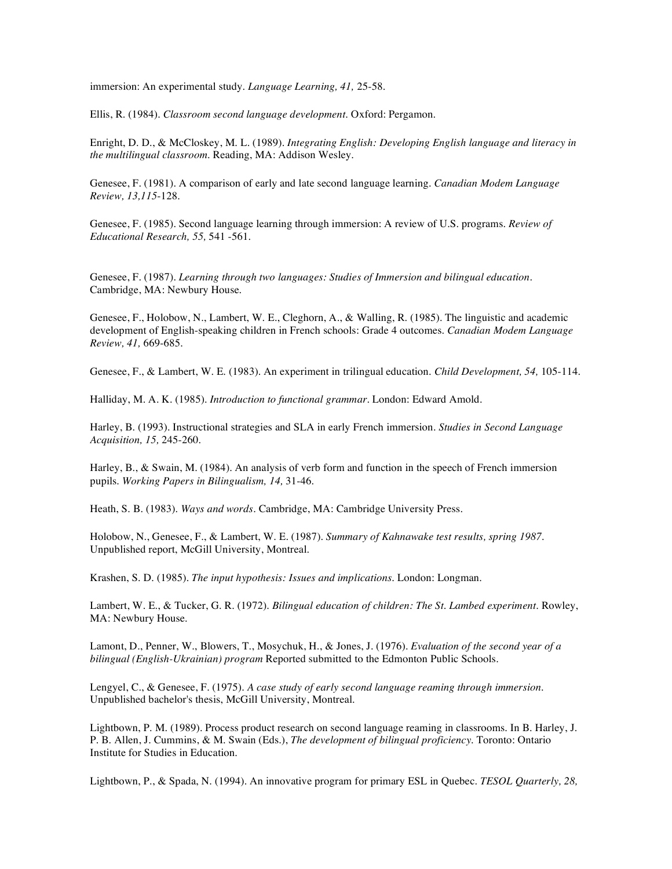immersion: An experimental study. *Language Learning, 41,* 25-58.

Ellis, R. (1984). *Classroom second language development.* Oxford: Pergamon.

Enright, D. D., & McCloskey, M. L. (1989). *Integrating English: Developing English language and literacy in the multilingual classroom.* Reading, MA: Addison Wesley.

Genesee, F. (1981). A comparison of early and late second language learning. *Canadian Modem Language Review, 13,115*-128.

Genesee, F. (1985). Second language learning through immersion: A review of U.S. programs. *Review of Educational Research, 55,* 541 -561.

Genesee, F. (1987). *Learning through two languages: Studies of Immersion and bilingual education.* Cambridge, MA: Newbury House.

Genesee, F., Holobow, N., Lambert, W. E., Cleghorn, A., & Walling, R. (1985). The linguistic and academic development of English-speaking children in French schools: Grade 4 outcomes. *Canadian Modem Language Review, 41,* 669-685.

Genesee, F., & Lambert, W. E. (1983). An experiment in trilingual education. *Child Development, 54,* 105-114.

Halliday, M. A. K. (1985). *Introduction to functional grammar.* London: Edward Amold.

Harley, B. (1993). Instructional strategies and SLA in early French immersion. *Studies in Second Language Acquisition, 15,* 245-260.

Harley, B., & Swain, M. (1984). An analysis of verb form and function in the speech of French immersion pupils. *Working Papers in Bilingualism, 14,* 31-46.

Heath, S. B. (1983). *Ways and words.* Cambridge, MA: Cambridge University Press.

Holobow, N., Genesee, F., & Lambert, W. E. (1987). *Summary of Kahnawake test results, spring 1987.* Unpublished report, McGill University, Montreal.

Krashen, S. D. (1985). *The input hypothesis: Issues and implications.* London: Longman.

Lambert, W. E., & Tucker, G. R. (1972). *Bilingual education of children: The St. Lambed experiment.* Rowley, MA: Newbury House.

Lamont, D., Penner, W., Blowers, T., Mosychuk, H., & Jones, J. (1976). *Evaluation of the second year of a bilingual (English-Ukrainian) program* Reported submitted to the Edmonton Public Schools.

Lengyel, C., & Genesee, F. (1975). *A case study of early second language reaming through immersion.* Unpublished bachelor's thesis, McGill University, Montreal.

Lightbown, P. M. (1989). Process product research on second language reaming in classrooms. In B. Harley, J. P. B. Allen, J. Cummins, & M. Swain (Eds.), *The development of bilingual proficiency.* Toronto: Ontario Institute for Studies in Education.

Lightbown, P., & Spada, N. (1994). An innovative program for primary ESL in Quebec. *TESOL Quarterly, 28,*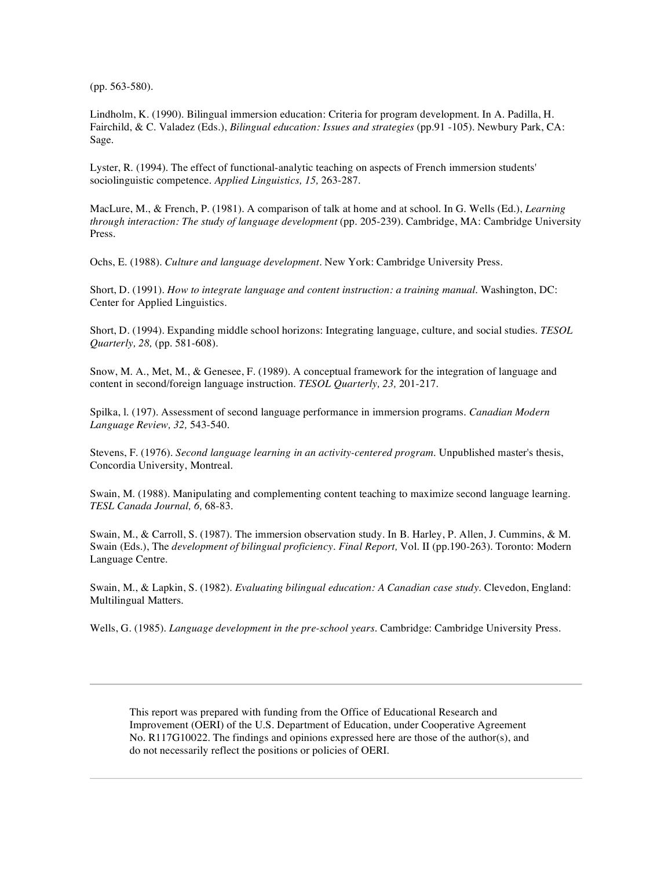(pp. 563-580).

Lindholm, K. (1990). Bilingual immersion education: Criteria for program development. In A. Padilla, H. Fairchild, & C. Valadez (Eds.), *Bilingual education: Issues and strategies* (pp.91 -105). Newbury Park, CA: Sage.

Lyster, R. (1994). The effect of functional-analytic teaching on aspects of French immersion students' sociolinguistic competence. *Applied Linguistics, 15,* 263-287.

MacLure, M., & French, P. (1981). A comparison of talk at home and at school. In G. Wells (Ed.), *Learning through interaction: The study of language development* (pp. 205-239). Cambridge, MA: Cambridge University Press.

Ochs, E. (1988). *Culture and language development.* New York: Cambridge University Press.

Short, D. (1991). *How to integrate language and content instruction: a training manual.* Washington, DC: Center for Applied Linguistics.

Short, D. (1994). Expanding middle school horizons: Integrating language, culture, and social studies. *TESOL Quarterly, 28,* (pp. 581-608).

Snow, M. A., Met, M., & Genesee, F. (1989). A conceptual framework for the integration of language and content in second/foreign language instruction. *TESOL Quarterly, 23,* 201-217.

Spilka, l. (197). Assessment of second language performance in immersion programs. *Canadian Modern Language Review, 32,* 543-540.

Stevens, F. (1976). *Second language learning in an activity-centered program.* Unpublished master's thesis, Concordia University, Montreal.

Swain, M. (1988). Manipulating and complementing content teaching to maximize second language learning. *TESL Canada Journal, 6,* 68-83.

Swain, M., & Carroll, S. (1987). The immersion observation study. In B. Harley, P. Allen, J. Cummins, & M. Swain (Eds.), The *development of bilingual proficiency. Final Report,* Vol. II (pp.190-263). Toronto: Modern Language Centre.

Swain, M., & Lapkin, S. (1982). *Evaluating bilingual education: A Canadian case study.* Clevedon, England: Multilingual Matters.

Wells, G. (1985). *Language development in the pre-school years.* Cambridge: Cambridge University Press.

This report was prepared with funding from the Office of Educational Research and Improvement (OERI) of the U.S. Department of Education, under Cooperative Agreement No. R117G10022. The findings and opinions expressed here are those of the author(s), and do not necessarily reflect the positions or policies of OERI.